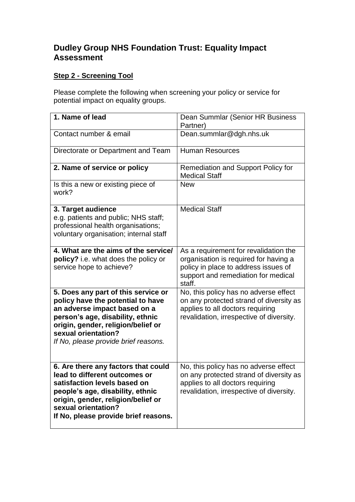## **Dudley Group NHS Foundation Trust: Equality Impact Assessment**

## **Step 2 - Screening Tool**

Please complete the following when screening your policy or service for potential impact on equality groups.

| 1. Name of lead                                                                                                                                                                                                                                   | Dean Summlar (Senior HR Business<br>Partner)                                                                                                                            |
|---------------------------------------------------------------------------------------------------------------------------------------------------------------------------------------------------------------------------------------------------|-------------------------------------------------------------------------------------------------------------------------------------------------------------------------|
| Contact number & email                                                                                                                                                                                                                            | Dean.summlar@dgh.nhs.uk                                                                                                                                                 |
| Directorate or Department and Team                                                                                                                                                                                                                | <b>Human Resources</b>                                                                                                                                                  |
| 2. Name of service or policy                                                                                                                                                                                                                      | <b>Remediation and Support Policy for</b><br><b>Medical Staff</b>                                                                                                       |
| Is this a new or existing piece of<br>work?                                                                                                                                                                                                       | <b>New</b>                                                                                                                                                              |
| 3. Target audience<br>e.g. patients and public; NHS staff;<br>professional health organisations;<br>voluntary organisation; internal staff                                                                                                        | <b>Medical Staff</b>                                                                                                                                                    |
| 4. What are the aims of the service/<br>policy? i.e. what does the policy or<br>service hope to achieve?                                                                                                                                          | As a requirement for revalidation the<br>organisation is required for having a<br>policy in place to address issues of<br>support and remediation for medical<br>staff. |
| 5. Does any part of this service or<br>policy have the potential to have<br>an adverse impact based on a<br>person's age, disability, ethnic<br>origin, gender, religion/belief or<br>sexual orientation?<br>If No, please provide brief reasons. | No, this policy has no adverse effect<br>on any protected strand of diversity as<br>applies to all doctors requiring<br>revalidation, irrespective of diversity.        |
| 6. Are there any factors that could<br>lead to different outcomes or<br>satisfaction levels based on<br>people's age, disability, ethnic<br>origin, gender, religion/belief or<br>sexual orientation?<br>If No, please provide brief reasons.     | No, this policy has no adverse effect<br>on any protected strand of diversity as<br>applies to all doctors requiring<br>revalidation, irrespective of diversity.        |